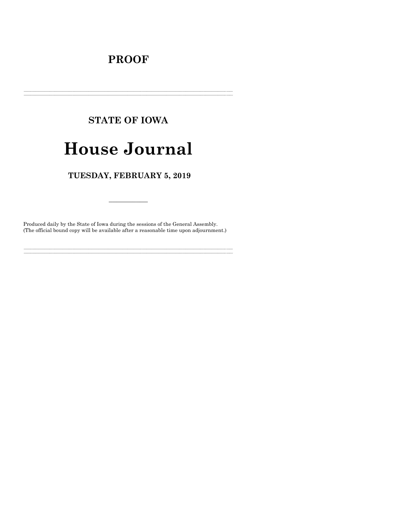# **PROOF**

# **STATE OF IOWA**

# **House Journal**

# TUESDAY, FEBRUARY 5, 2019

Produced daily by the State of Iowa during the sessions of the General Assembly. (The official bound copy will be available after a reasonable time upon adjournment.)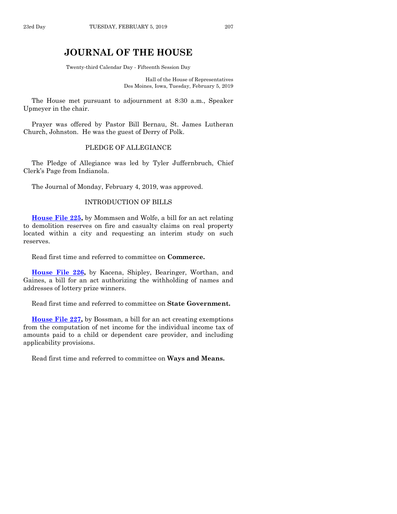# **JOURNAL OF THE HOUSE**

Twenty-third Calendar Day - Fifteenth Session Day

Hall of the House of Representatives Des Moines, Iowa, Tuesday, February 5, 2019

The House met pursuant to adjournment at 8:30 a.m., Speaker Upmeyer in the chair.

Prayer was offered by Pastor Bill Bernau, St. James Lutheran Church, Johnston. He was the guest of Derry of Polk.

## PLEDGE OF ALLEGIANCE

The Pledge of Allegiance was led by Tyler Juffernbruch, Chief Clerk's Page from Indianola.

The Journal of Monday, February 4, 2019, was approved.

## INTRODUCTION OF BILLS

**[House File 225,](https://www.legis.iowa.gov/legislation/BillBook?ga=88&ba=HF225)** by Mommsen and Wolfe, a bill for an act relating to demolition reserves on fire and casualty claims on real property located within a city and requesting an interim study on such reserves.

Read first time and referred to committee on **Commerce.**

**[House File 226,](https://www.legis.iowa.gov/legislation/BillBook?ga=88&ba=HF226)** by Kacena, Shipley, Bearinger, Worthan, and Gaines, a bill for an act authorizing the withholding of names and addresses of lottery prize winners.

Read first time and referred to committee on **State Government.**

**[House File 227,](https://www.legis.iowa.gov/legislation/BillBook?ga=88&ba=HF227)** by Bossman, a bill for an act creating exemptions from the computation of net income for the individual income tax of amounts paid to a child or dependent care provider, and including applicability provisions.

Read first time and referred to committee on **Ways and Means.**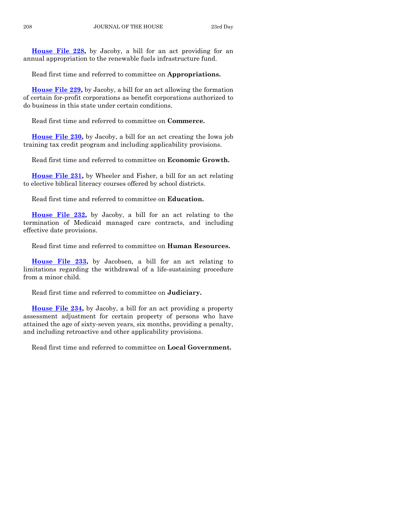**[House File 228,](https://www.legis.iowa.gov/legislation/BillBook?ga=88&ba=HF228)** by Jacoby, a bill for an act providing for an annual appropriation to the renewable fuels infrastructure fund.

Read first time and referred to committee on **Appropriations.**

**[House File 229,](https://www.legis.iowa.gov/legislation/BillBook?ga=88&ba=HF229)** by Jacoby, a bill for an act allowing the formation of certain for-profit corporations as benefit corporations authorized to do business in this state under certain conditions.

Read first time and referred to committee on **Commerce.**

**[House File 230,](https://www.legis.iowa.gov/legislation/BillBook?ga=88&ba=HF230)** by Jacoby, a bill for an act creating the Iowa job training tax credit program and including applicability provisions.

Read first time and referred to committee on **Economic Growth.**

**[House File 231,](https://www.legis.iowa.gov/legislation/BillBook?ga=88&ba=HF231)** by Wheeler and Fisher, a bill for an act relating to elective biblical literacy courses offered by school districts.

Read first time and referred to committee on **Education.**

**[House File 232,](https://www.legis.iowa.gov/legislation/BillBook?ga=88&ba=HF232)** by Jacoby, a bill for an act relating to the termination of Medicaid managed care contracts, and including effective date provisions.

Read first time and referred to committee on **Human Resources.**

**[House File 233,](https://www.legis.iowa.gov/legislation/BillBook?ga=88&ba=HF233)** by Jacobsen, a bill for an act relating to limitations regarding the withdrawal of a life-sustaining procedure from a minor child.

Read first time and referred to committee on **Judiciary.**

**[House File 234,](https://www.legis.iowa.gov/legislation/BillBook?ga=88&ba=HF234)** by Jacoby, a bill for an act providing a property assessment adjustment for certain property of persons who have attained the age of sixty-seven years, six months, providing a penalty, and including retroactive and other applicability provisions.

Read first time and referred to committee on **Local Government.**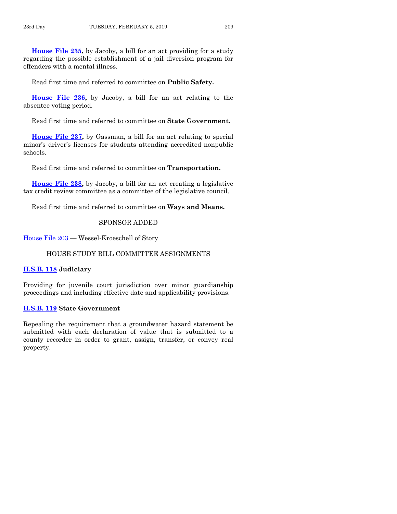**[House File 235,](https://www.legis.iowa.gov/legislation/BillBook?ga=88&ba=HF235)** by Jacoby, a bill for an act providing for a study regarding the possible establishment of a jail diversion program for offenders with a mental illness.

Read first time and referred to committee on **Public Safety.**

**[House File 236,](https://www.legis.iowa.gov/legislation/BillBook?ga=88&ba=HF236)** by Jacoby, a bill for an act relating to the absentee voting period.

Read first time and referred to committee on **State Government.**

**[House File 237,](https://www.legis.iowa.gov/legislation/BillBook?ga=88&ba=HF237)** by Gassman, a bill for an act relating to special minor's driver's licenses for students attending accredited nonpublic schools.

Read first time and referred to committee on **Transportation.**

**[House File 238,](https://www.legis.iowa.gov/legislation/BillBook?ga=88&ba=HF238)** by Jacoby, a bill for an act creating a legislative tax credit review committee as a committee of the legislative council.

Read first time and referred to committee on **Ways and Means.**

## SPONSOR ADDED

[House File 203](https://www.legis.iowa.gov/legislation/BillBook?ga=88&ba=HF203) — Wessel-Kroeschell of Story

## HOUSE STUDY BILL COMMITTEE ASSIGNMENTS

## **[H.S.B. 118](https://www.legis.iowa.gov/legislation/BillBook?ga=88&ba=HSB118) Judiciary**

Providing for juvenile court jurisdiction over minor guardianship proceedings and including effective date and applicability provisions.

#### **[H.S.B. 119](https://www.legis.iowa.gov/legislation/BillBook?ga=88&ba=HSB119) State Government**

Repealing the requirement that a groundwater hazard statement be submitted with each declaration of value that is submitted to a county recorder in order to grant, assign, transfer, or convey real property.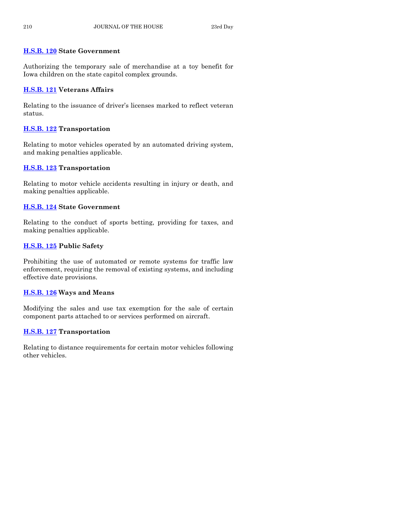# **[H.S.B. 120](https://www.legis.iowa.gov/legislation/BillBook?ga=88&ba=HSB120) State Government**

Authorizing the temporary sale of merchandise at a toy benefit for Iowa children on the state capitol complex grounds.

# **[H.S.B. 121](https://www.legis.iowa.gov/legislation/BillBook?ga=88&ba=HSB121) Veterans Affairs**

Relating to the issuance of driver's licenses marked to reflect veteran status.

# **[H.S.B. 122](https://www.legis.iowa.gov/legislation/BillBook?ga=88&ba=HSB122) Transportation**

Relating to motor vehicles operated by an automated driving system, and making penalties applicable.

# **[H.S.B. 123](https://www.legis.iowa.gov/legislation/BillBook?ga=88&ba=HSB123) Transportation**

Relating to motor vehicle accidents resulting in injury or death, and making penalties applicable.

# **[H.S.B. 124](https://www.legis.iowa.gov/legislation/BillBook?ga=88&ba=HSB124) State Government**

Relating to the conduct of sports betting, providing for taxes, and making penalties applicable.

# **[H.S.B. 125](https://www.legis.iowa.gov/legislation/BillBook?ga=88&ba=HSB125) Public Safety**

Prohibiting the use of automated or remote systems for traffic law enforcement, requiring the removal of existing systems, and including effective date provisions.

# **[H.S.B. 126](https://www.legis.iowa.gov/legislation/BillBook?ga=88&ba=HSB126) Ways and Means**

Modifying the sales and use tax exemption for the sale of certain component parts attached to or services performed on aircraft.

# **[H.S.B. 127](https://www.legis.iowa.gov/legislation/BillBook?ga=88&ba=HSB127) Transportation**

Relating to distance requirements for certain motor vehicles following other vehicles.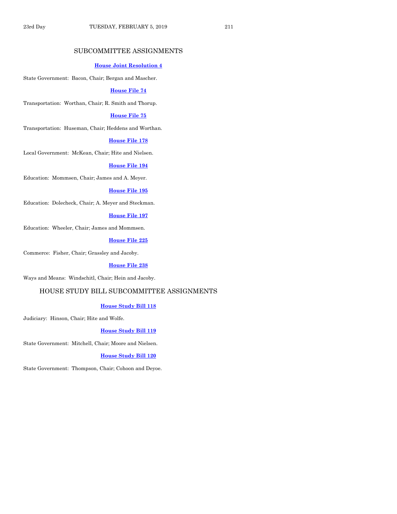## SUBCOMMITTEE ASSIGNMENTS

#### **House [Joint Resolution 4](https://www.legis.iowa.gov/legislation/BillBook?ga=88&ba=HJR4)**

State Government: Bacon, Chair; Bergan and Mascher.

#### **[House File 74](https://www.legis.iowa.gov/legislation/BillBook?ga=88&ba=HF74)**

Transportation: Worthan, Chair; R. Smith and Thorup.

## **[House File 75](https://www.legis.iowa.gov/legislation/BillBook?ga=88&ba=HF75)**

Transportation: Huseman, Chair; Heddens and Worthan.

#### **[House File 178](https://www.legis.iowa.gov/legislation/BillBook?ga=88&ba=HF178)**

Local Government: McKean, Chair; Hite and Nielsen.

#### **[House File 194](https://www.legis.iowa.gov/legislation/BillBook?ga=88&ba=HF194)**

Education: Mommsen, Chair; James and A. Meyer.

#### **[House File 195](https://www.legis.iowa.gov/legislation/BillBook?ga=88&ba=HF195)**

Education: Dolecheck, Chair; A. Meyer and Steckman.

## **[House File 197](https://www.legis.iowa.gov/legislation/BillBook?ga=88&ba=HF197)**

Education: Wheeler, Chair; James and Mommsen.

### **[House File 225](https://www.legis.iowa.gov/legislation/BillBook?ga=88&ba=HF225)**

Commerce: Fisher, Chair; Grassley and Jacoby.

#### **[House File 238](https://www.legis.iowa.gov/legislation/BillBook?ga=88&ba=HF238)**

Ways and Means: Windschitl, Chair; Hein and Jacoby.

## HOUSE STUDY BILL SUBCOMMITTEE ASSIGNMENTS

## **[House Study Bill 118](https://www.legis.iowa.gov/legislation/BillBook?ga=88&ba=HSB118)**

Judiciary: Hinson, Chair; Hite and Wolfe.

#### **[House Study Bill 119](https://www.legis.iowa.gov/legislation/BillBook?ga=88&ba=HSB119)**

State Government: Mitchell, Chair; Moore and Nielsen.

#### **[House Study Bill 120](https://www.legis.iowa.gov/legislation/BillBook?ga=88&ba=HSB120)**

State Government: Thompson, Chair; Cohoon and Deyoe.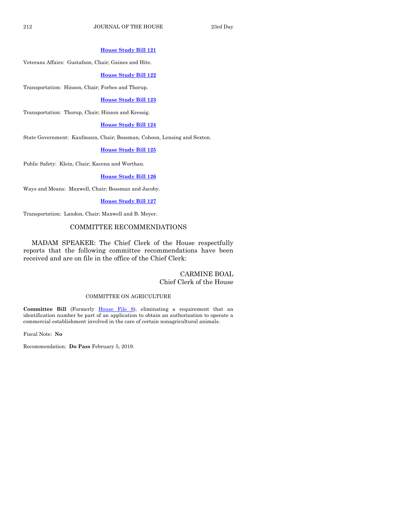#### **[House Study Bill 121](https://www.legis.iowa.gov/legislation/BillBook?ga=88&ba=HSB121)**

Veterans Affairs: Gustafson, Chair; Gaines and Hite.

#### **[House Study Bill 122](https://www.legis.iowa.gov/legislation/BillBook?ga=88&ba=HSB122)**

Transportation: Hinson, Chair; Forbes and Thorup.

#### **[House Study Bill 123](https://www.legis.iowa.gov/legislation/BillBook?ga=88&ba=HSB123)**

Transportation: Thorup, Chair; Hinson and Kressig.

#### **[House Study Bill 124](https://www.legis.iowa.gov/legislation/BillBook?ga=88&ba=HSB124)**

State Government: Kaufmann, Chair; Bossman, Cohoon, Lensing and Sexton.

## **[House Study Bill 125](https://www.legis.iowa.gov/legislation/BillBook?ga=88&ba=HSB125)**

Public Safety: Klein, Chair; Kacena and Worthan.

#### **[House Study Bill 126](https://www.legis.iowa.gov/legislation/BillBook?ga=88&ba=HSB126)**

Ways and Means: Maxwell, Chair; Bossman and Jacoby.

#### **[House Study Bill 127](https://www.legis.iowa.gov/legislation/BillBook?ga=88&ba=HSB127)**

Transportation: Landon, Chair; Maxwell and B. Meyer.

#### COMMITTEE RECOMMENDATIONS

MADAM SPEAKER: The Chief Clerk of the House respectfully reports that the following committee recommendations have been received and are on file in the office of the Chief Clerk:

## CARMINE BOAL Chief Clerk of the House

#### COMMITTEE ON AGRICULTURE

Committee Bill (Formerly [House File 8\)](https://www.legis.iowa.gov/legislation/BillBook?ga=88&ba=HF8), eliminating a requirement that an identification number be part of an application to obtain an authorization to operate a commercial establishment involved in the care of certain nonagricultural animals.

Fiscal Note: **No**

Recommendation: **Do Pass** February 5, 2019.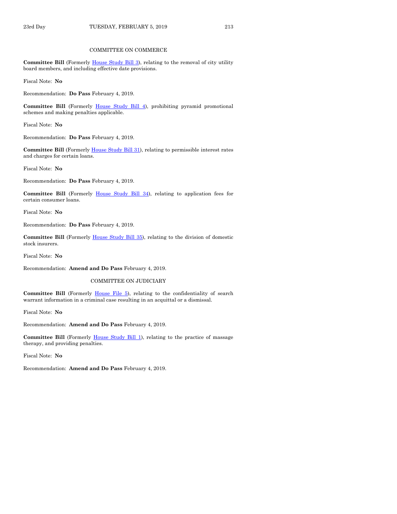#### COMMITTEE ON COMMERCE

Committee Bill (Formerly [House Study Bill 3\)](https://www.legis.iowa.gov/legislation/BillBook?ga=88&ba=HSB3), relating to the removal of city utility board members, and including effective date provisions.

Fiscal Note: **No**

Recommendation: **Do Pass** February 4, 2019.

**Committee Bill** (Formerly [House Study Bill 4\)](https://www.legis.iowa.gov/legislation/BillBook?ga=88&ba=HSB4), prohibiting pyramid promotional schemes and making penalties applicable.

Fiscal Note: **No**

Recommendation: **Do Pass** February 4, 2019.

Committee Bill (Formerly *House Study Bill 31)*, relating to permissible interest rates and charges for certain loans.

Fiscal Note: **No**

Recommendation: **Do Pass** February 4, 2019.

**Committee Bill** (Formerly [House Study Bill 34\),](https://www.legis.iowa.gov/legislation/BillBook?ga=88&ba=HSB34) relating to application fees for certain consumer loans.

Fiscal Note: **No**

Recommendation: **Do Pass** February 4, 2019.

**Committee Bill** (Formerly [House Study Bill 35\)](https://www.legis.iowa.gov/legislation/BillBook?ga=88&ba=HSB35), relating to the division of domestic stock insurers.

Fiscal Note: **No**

Recommendation: **Amend and Do Pass** February 4, 2019.

COMMITTEE ON JUDICIARY

Committee Bill (Formerly [House File 5\)](https://www.legis.iowa.gov/legislation/BillBook?ga=88&ba=HF5), relating to the confidentiality of search warrant information in a criminal case resulting in an acquittal or a dismissal.

Fiscal Note: **No**

Recommendation: **Amend and Do Pass** February 4, 2019.

**Committee Bill** (Formerly [House Study Bill 1\)](https://www.legis.iowa.gov/legislation/BillBook?ga=88&ba=HSB1), relating to the practice of massage therapy, and providing penalties.

Fiscal Note: **No**

Recommendation: **Amend and Do Pass** February 4, 2019.